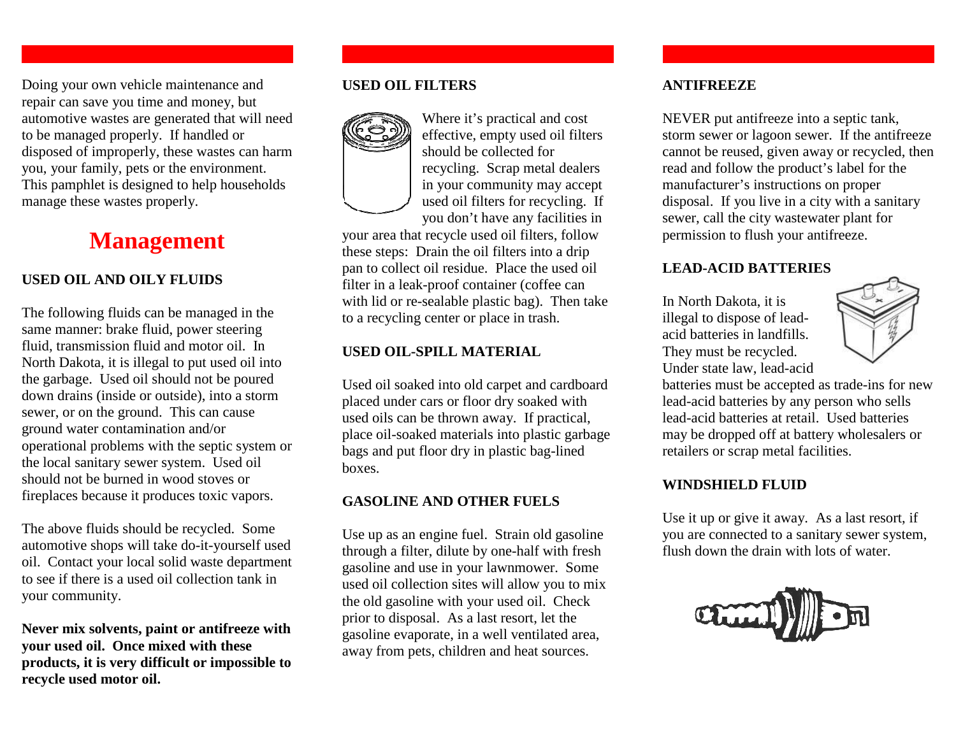Doing your own vehicle maintenance and repair can save you time and money, but automotive wastes are generated that will need to be managed properly. If handled or disposed of improperly, these wastes can harm you, your family, pets or the environment. This pamphlet is designed to help households manage these wastes properly.

## **Management**

#### **USED OIL AND OILY FLUIDS**

The following fluids can be managed in the same manner: brake fluid, power steering fluid, transmission fluid and motor oil. In North Dakota, it is illegal to put used oil into the garbage. Used oil should not be poured down drains (inside or outside), into a storm sewer, or on the ground. This can cause ground water contamination and/or operational problems with the septic system or the local sanitary sewer system. Used oil should not be burned in wood stoves or fireplaces because it produces toxic vapors.

The above fluids should be recycled. Some automotive shops will take do-it-yourself used oil. Contact your local solid waste department to see if there is a used oil collection tank in your community.

**Never mix solvents, paint or antifreeze with your used oil. Once mixed with these products, it is very difficult or impossible to recycle used motor oil.**

#### **USED OIL FILTERS**



Where it's practical and cost effective, empty used oil filters should be collected for recycling. Scrap metal dealers in your community may accept used oil filters for recycling. If you don't have any facilities in

your area that recycle used oil filters, follow these steps: Drain the oil filters into a drip pan to collect oil residue. Place the used oil filter in a leak-proof container (coffee can with lid or re-sealable plastic bag). Then take to a recycling center or place in trash.

#### **USED OIL-SPILL MATERIAL**

Used oil soaked into old carpet and cardboard placed under cars or floor dry soaked with used oils can be thrown away. If practical, place oil-soaked materials into plastic garbage bags and put floor dry in plastic bag-lined boxes.

#### **GASOLINE AND OTHER FUELS**

Use up as an engine fuel. Strain old gasoline through a filter, dilute by one-half with fresh gasoline and use in your lawnmower. Some used oil collection sites will allow you to mix the old gasoline with your used oil. Check prior to disposal. As a last resort, let the gasoline evaporate, in a well ventilated area, away from pets, children and heat sources.

#### **ANTIFREEZE**

NEVER put antifreeze into a septic tank, storm sewer or lagoon sewer. If the antifreeze cannot be reused, given away or recycled, then read and follow the product's label for the manufacturer's instructions on proper disposal. If you live in a city with a sanitary sewer, call the city wastewater plant for permission to flush your antifreeze.

#### **LEAD-ACID BATTERIES**

In North Dakota, it is illegal to dispose of leadacid batteries in landfills. They must be recycled. Under state law, lead-acid



 batteries must be accepted as trade-ins for new lead-acid batteries by any person who sells lead-acid batteries at retail. Used batteries may be dropped off at battery wholesalers or retailers or scrap metal facilities.

#### **WINDSHIELD FLUID**

Use it up or give it away. As a last resort, if you are connected to a sanitary sewer system, flush down the drain with lots of water.